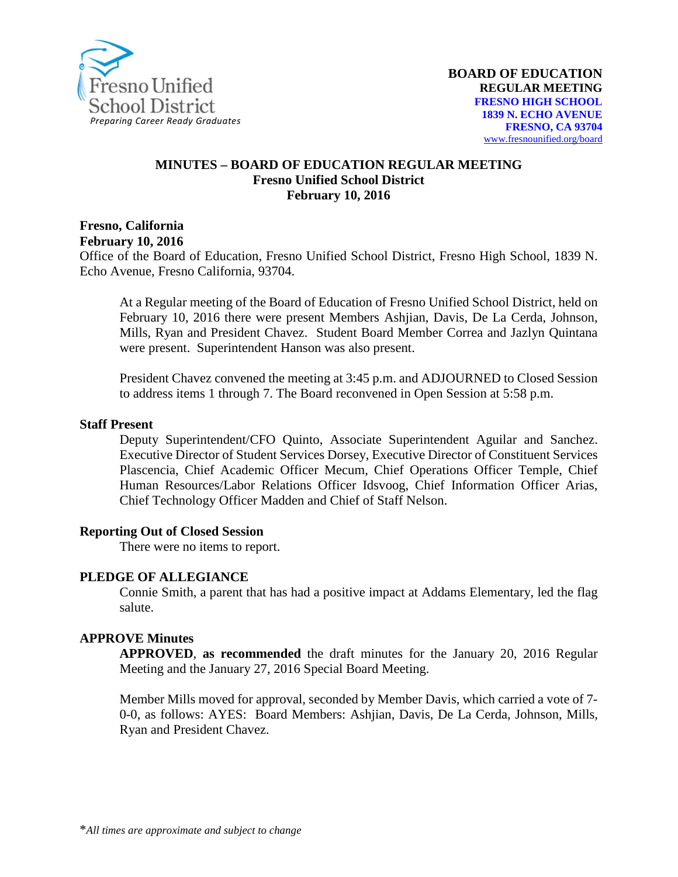

#### **MINUTES – BOARD OF EDUCATION REGULAR MEETING Fresno Unified School District February 10, 2016**

**Fresno, California February 10, 2016**

Office of the Board of Education, Fresno Unified School District, Fresno High School, 1839 N. Echo Avenue, Fresno California, 93704.

At a Regular meeting of the Board of Education of Fresno Unified School District, held on February 10, 2016 there were present Members Ashjian, Davis, De La Cerda, Johnson, Mills, Ryan and President Chavez. Student Board Member Correa and Jazlyn Quintana were present. Superintendent Hanson was also present.

President Chavez convened the meeting at 3:45 p.m. and ADJOURNED to Closed Session to address items 1 through 7. The Board reconvened in Open Session at 5:58 p.m.

#### **Staff Present**

Deputy Superintendent/CFO Quinto, Associate Superintendent Aguilar and Sanchez. Executive Director of Student Services Dorsey, Executive Director of Constituent Services Plascencia, Chief Academic Officer Mecum, Chief Operations Officer Temple, Chief Human Resources/Labor Relations Officer Idsvoog, Chief Information Officer Arias, Chief Technology Officer Madden and Chief of Staff Nelson.

#### **Reporting Out of Closed Session**

There were no items to report.

#### **PLEDGE OF ALLEGIANCE**

Connie Smith, a parent that has had a positive impact at Addams Elementary, led the flag salute.

#### **APPROVE Minutes**

**APPROVED**, **as recommended** the draft minutes for the January 20, 2016 Regular Meeting and the January 27, 2016 Special Board Meeting.

Member Mills moved for approval, seconded by Member Davis, which carried a vote of 7- 0-0, as follows: AYES: Board Members: Ashjian, Davis, De La Cerda, Johnson, Mills, Ryan and President Chavez.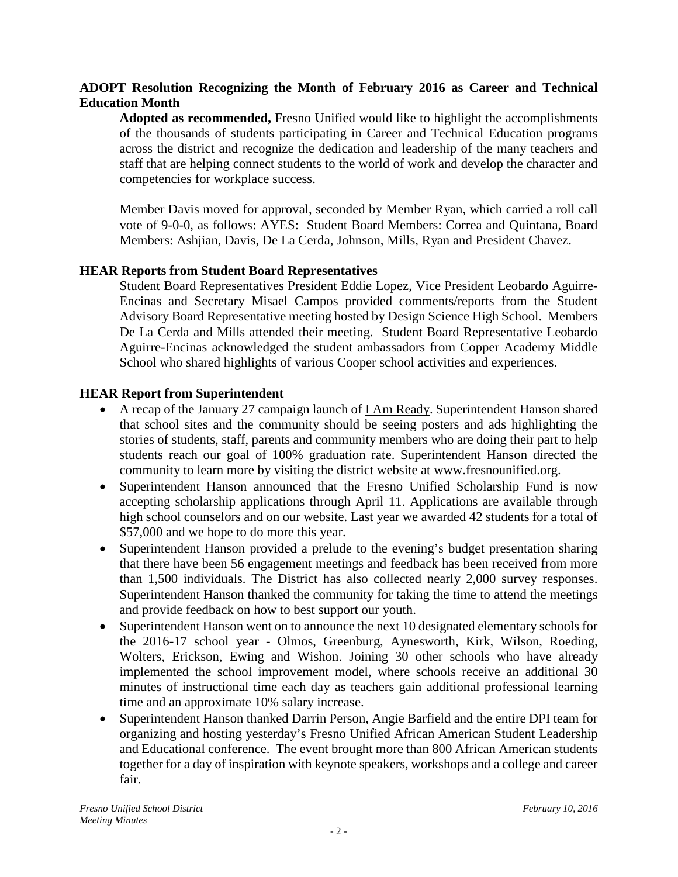### **ADOPT Resolution Recognizing the Month of February 2016 as Career and Technical Education Month**

**Adopted as recommended,** Fresno Unified would like to highlight the accomplishments of the thousands of students participating in Career and Technical Education programs across the district and recognize the dedication and leadership of the many teachers and staff that are helping connect students to the world of work and develop the character and competencies for workplace success.

Member Davis moved for approval, seconded by Member Ryan, which carried a roll call vote of 9-0-0, as follows: AYES: Student Board Members: Correa and Quintana, Board Members: Ashjian, Davis, De La Cerda, Johnson, Mills, Ryan and President Chavez.

## **HEAR Reports from Student Board Representatives**

Student Board Representatives President Eddie Lopez, Vice President Leobardo Aguirre-Encinas and Secretary Misael Campos provided comments/reports from the Student Advisory Board Representative meeting hosted by Design Science High School. Members De La Cerda and Mills attended their meeting. Student Board Representative Leobardo Aguirre-Encinas acknowledged the student ambassadors from Copper Academy Middle School who shared highlights of various Cooper school activities and experiences.

## **HEAR Report from Superintendent**

- A recap of the January 27 campaign launch of **I Am Ready**. Superintendent Hanson shared that school sites and the community should be seeing posters and ads highlighting the stories of students, staff, parents and community members who are doing their part to help students reach our goal of 100% graduation rate. Superintendent Hanson directed the community to learn more by visiting the district website at [www.fresnounified.org.](http://www.fresnounified.org/)
- Superintendent Hanson announced that the [Fresno Unified Scholarship Fund](https://www.fresnou.org/Pages/fusd-scholarship.aspx) is now accepting scholarship applications through April 11. Applications are available through high school counselors and on our website. Last year we awarded 42 students for a total of \$57,000 and we hope to do more this year.
- Superintendent Hanson provided a prelude to the evening's budget presentation sharing that there have been 56 engagement meetings and feedback has been received from more than 1,500 individuals. The District has also collected nearly 2,000 survey responses. Superintendent Hanson thanked the community for taking the time to attend the meetings and provide feedback on how to best support our youth.
- Superintendent Hanson went on to announce the next 10 designated elementary schools for the 2016-17 school year - Olmos, Greenburg, Aynesworth, Kirk, Wilson, Roeding, Wolters, Erickson, Ewing and Wishon. Joining 30 other schools who have already implemented the school improvement model, where schools receive an additional 30 minutes of instructional time each day as teachers gain additional professional learning time and an approximate 10% salary increase.
- Superintendent Hanson thanked Darrin Person, Angie Barfield and the entire DPI team for organizing and hosting yesterday's Fresno Unified African American Student Leadership and Educational conference. The event brought more than 800 African American students together for a day of inspiration with keynote speakers, workshops and a college and career fair.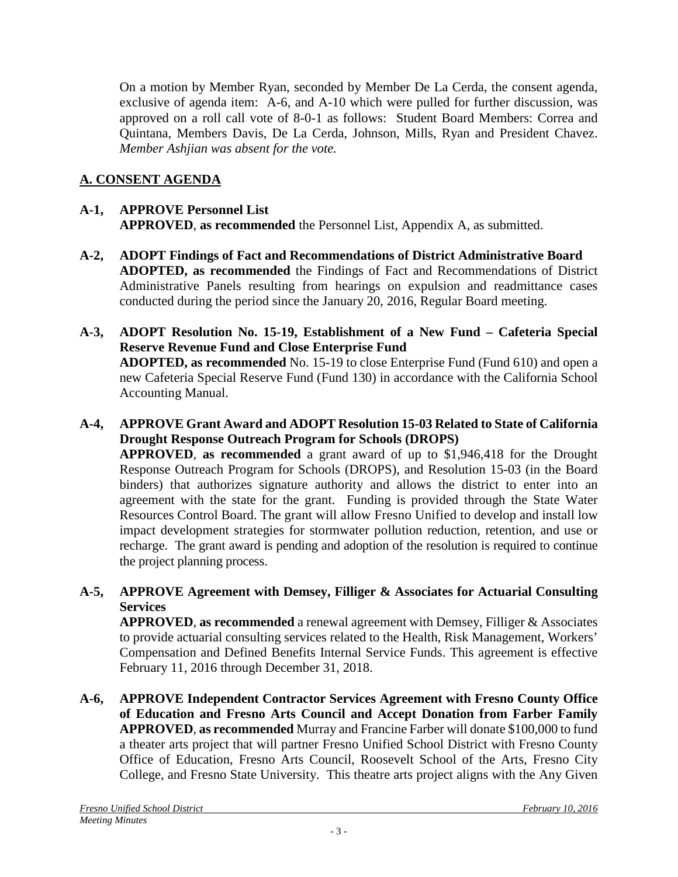On a motion by Member Ryan, seconded by Member De La Cerda, the consent agenda, exclusive of agenda item: A-6, and A-10 which were pulled for further discussion, was approved on a roll call vote of 8-0-1 as follows: Student Board Members: Correa and Quintana, Members Davis, De La Cerda, Johnson, Mills, Ryan and President Chavez. *Member Ashjian was absent for the vote.*

# **A. CONSENT AGENDA**

## **A-1, APPROVE Personnel List APPROVED**, **as recommended** the Personnel List, Appendix A, as submitted.

- **A-2, ADOPT Findings of Fact and Recommendations of District Administrative Board ADOPTED, as recommended** the Findings of Fact and Recommendations of District Administrative Panels resulting from hearings on expulsion and readmittance cases conducted during the period since the January 20, 2016, Regular Board meeting.
- **A-3, ADOPT Resolution No. 15-19, Establishment of a New Fund – Cafeteria Special Reserve Revenue Fund and Close Enterprise Fund ADOPTED, as recommended** No. 15-19 to close Enterprise Fund (Fund 610) and open a new Cafeteria Special Reserve Fund (Fund 130) in accordance with the California School Accounting Manual.
- **A-4, APPROVE Grant Award and ADOPT Resolution 15-03 Related to State of California Drought Response Outreach Program for Schools (DROPS)**

**APPROVED**, **as recommended** a grant award of up to \$1,946,418 for the Drought Response Outreach Program for Schools (DROPS), and Resolution 15-03 (in the Board binders) that authorizes signature authority and allows the district to enter into an agreement with the state for the grant. Funding is provided through the State Water Resources Control Board. The grant will allow Fresno Unified to develop and install low impact development strategies for stormwater pollution reduction, retention, and use or recharge. The grant award is pending and adoption of the resolution is required to continue the project planning process.

## **A-5, APPROVE Agreement with Demsey, Filliger & Associates for Actuarial Consulting Services**

**APPROVED**, **as recommended** a renewal agreement with Demsey, Filliger & Associates to provide actuarial consulting services related to the Health, Risk Management, Workers' Compensation and Defined Benefits Internal Service Funds. This agreement is effective February 11, 2016 through December 31, 2018.

**A-6, APPROVE Independent Contractor Services Agreement with Fresno County Office of Education and Fresno Arts Council and Accept Donation from Farber Family APPROVED**, **as recommended** Murray and Francine Farber will donate \$100,000 to fund a theater arts project that will partner Fresno Unified School District with Fresno County Office of Education, Fresno Arts Council, Roosevelt School of the Arts, Fresno City College, and Fresno State University. This theatre arts project aligns with the Any Given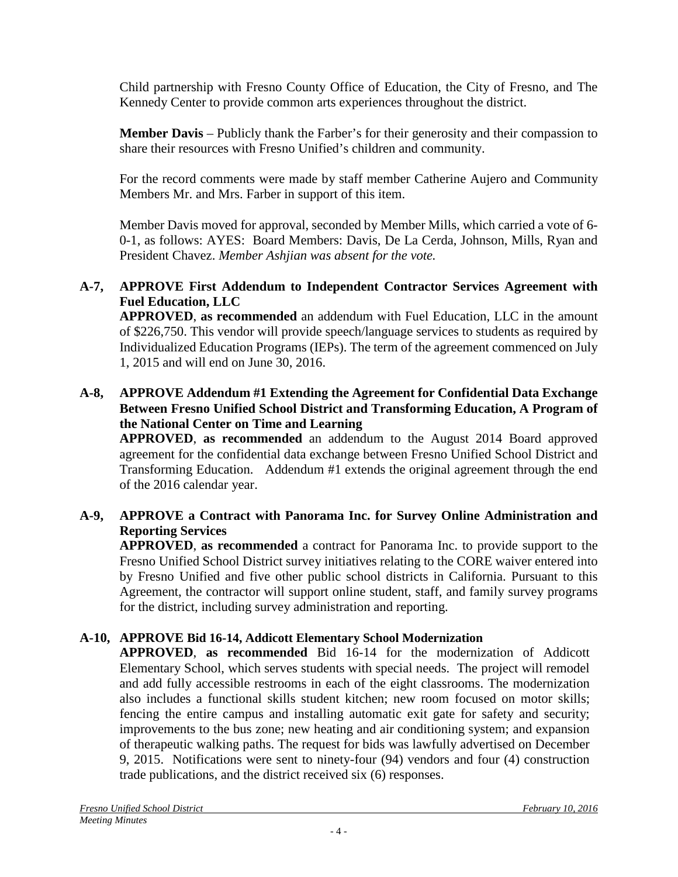Child partnership with Fresno County Office of Education, the City of Fresno, and The Kennedy Center to provide common arts experiences throughout the district.

**Member Davis** – Publicly thank the Farber's for their generosity and their compassion to share their resources with Fresno Unified's children and community.

For the record comments were made by staff member Catherine Aujero and Community Members Mr. and Mrs. Farber in support of this item.

Member Davis moved for approval, seconded by Member Mills, which carried a vote of 6- 0-1, as follows: AYES: Board Members: Davis, De La Cerda, Johnson, Mills, Ryan and President Chavez. *Member Ashjian was absent for the vote.*

### **A-7, APPROVE First Addendum to Independent Contractor Services Agreement with Fuel Education, LLC**

**APPROVED**, **as recommended** an addendum with Fuel Education, LLC in the amount of \$226,750. This vendor will provide speech/language services to students as required by Individualized Education Programs (IEPs). The term of the agreement commenced on July 1, 2015 and will end on June 30, 2016.

### **A-8, APPROVE Addendum #1 Extending the Agreement for Confidential Data Exchange Between Fresno Unified School District and Transforming Education, A Program of the National Center on Time and Learning**

**APPROVED**, **as recommended** an addendum to the August 2014 Board approved agreement for the confidential data exchange between Fresno Unified School District and Transforming Education. Addendum #1 extends the original agreement through the end of the 2016 calendar year.

## **A-9, APPROVE a Contract with Panorama Inc. for Survey Online Administration and Reporting Services**

**APPROVED**, **as recommended** a contract for Panorama Inc. to provide support to the Fresno Unified School District survey initiatives relating to the CORE waiver entered into by Fresno Unified and five other public school districts in California. Pursuant to this Agreement, the contractor will support online student, staff, and family survey programs for the district, including survey administration and reporting.

## **A-10, APPROVE Bid 16-14, Addicott Elementary School Modernization**

**APPROVED**, **as recommended** Bid 16-14 for the modernization of Addicott Elementary School, which serves students with special needs. The project will remodel and add fully accessible restrooms in each of the eight classrooms. The modernization also includes a functional skills student kitchen; new room focused on motor skills; fencing the entire campus and installing automatic exit gate for safety and security; improvements to the bus zone; new heating and air conditioning system; and expansion of therapeutic walking paths. The request for bids was lawfully advertised on December 9, 2015. Notifications were sent to ninety-four (94) vendors and four (4) construction trade publications, and the district received six (6) responses.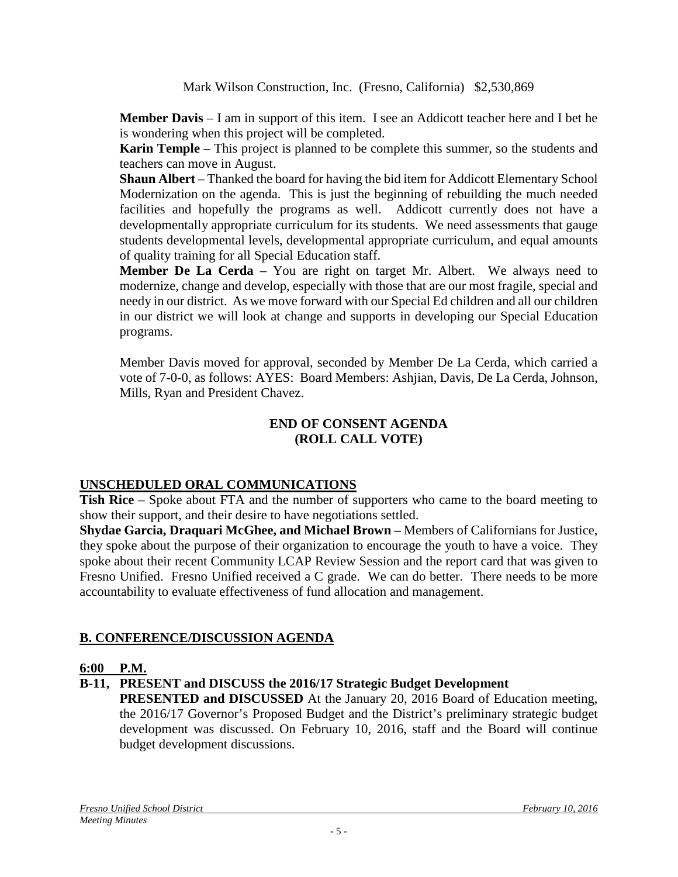Mark Wilson Construction, Inc. (Fresno, California) \$2,530,869

**Member Davis** – I am in support of this item. I see an Addicott teacher here and I bet he is wondering when this project will be completed.

**Karin Temple** – This project is planned to be complete this summer, so the students and teachers can move in August.

**Shaun Albert** – Thanked the board for having the bid item for Addicott Elementary School Modernization on the agenda. This is just the beginning of rebuilding the much needed facilities and hopefully the programs as well. Addicott currently does not have a developmentally appropriate curriculum for its students. We need assessments that gauge students developmental levels, developmental appropriate curriculum, and equal amounts of quality training for all Special Education staff.

**Member De La Cerda** – You are right on target Mr. Albert. We always need to modernize, change and develop, especially with those that are our most fragile, special and needy in our district. As we move forward with our Special Ed children and all our children in our district we will look at change and supports in developing our Special Education programs.

Member Davis moved for approval, seconded by Member De La Cerda, which carried a vote of 7-0-0, as follows: AYES: Board Members: Ashjian, Davis, De La Cerda, Johnson, Mills, Ryan and President Chavez.

#### **END OF CONSENT AGENDA (ROLL CALL VOTE)**

## **UNSCHEDULED ORAL COMMUNICATIONS**

**Tish Rice** – Spoke about FTA and the number of supporters who came to the board meeting to show their support, and their desire to have negotiations settled.

**Shydae Garcia, Draquari McGhee, and Michael Brown –** Members of Californians for Justice, they spoke about the purpose of their organization to encourage the youth to have a voice. They spoke about their recent Community LCAP Review Session and the report card that was given to Fresno Unified. Fresno Unified received a C grade. We can do better. There needs to be more accountability to evaluate effectiveness of fund allocation and management.

## **B. CONFERENCE/DISCUSSION AGENDA**

## **6:00 P.M.**

## **B-11, PRESENT and DISCUSS the 2016/17 Strategic Budget Development**

**PRESENTED and DISCUSSED** At the January 20, 2016 Board of Education meeting, the 2016/17 Governor's Proposed Budget and the District's preliminary strategic budget development was discussed. On February 10, 2016, staff and the Board will continue budget development discussions.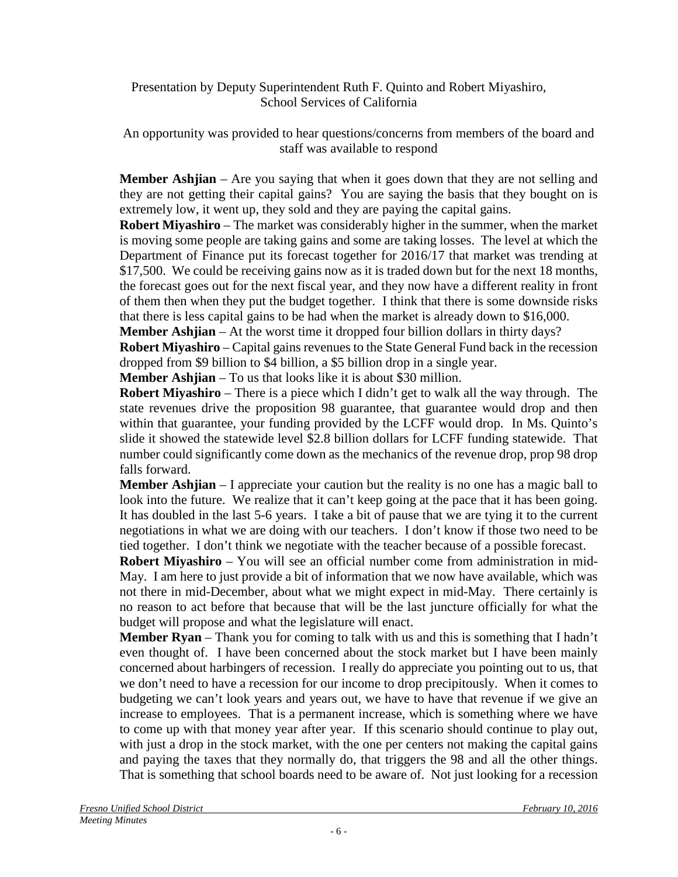### Presentation by Deputy Superintendent Ruth F. Quinto and Robert Miyashiro, School Services of California

An opportunity was provided to hear questions/concerns from members of the board and staff was available to respond

**Member Ashjian** – Are you saying that when it goes down that they are not selling and they are not getting their capital gains? You are saying the basis that they bought on is extremely low, it went up, they sold and they are paying the capital gains.

**Robert Miyashiro** – The market was considerably higher in the summer, when the market is moving some people are taking gains and some are taking losses. The level at which the Department of Finance put its forecast together for 2016/17 that market was trending at \$17,500. We could be receiving gains now as it is traded down but for the next 18 months, the forecast goes out for the next fiscal year, and they now have a different reality in front of them then when they put the budget together. I think that there is some downside risks that there is less capital gains to be had when the market is already down to \$16,000.

**Member Ashjian** – At the worst time it dropped four billion dollars in thirty days?

**Robert Miyashiro** – Capital gains revenues to the State General Fund back in the recession dropped from \$9 billion to \$4 billion, a \$5 billion drop in a single year.

**Member Ashjian** – To us that looks like it is about \$30 million.

**Robert Miyashiro** – There is a piece which I didn't get to walk all the way through. The state revenues drive the proposition 98 guarantee, that guarantee would drop and then within that guarantee, your funding provided by the LCFF would drop. In Ms. Quinto's slide it showed the statewide level \$2.8 billion dollars for LCFF funding statewide. That number could significantly come down as the mechanics of the revenue drop, prop 98 drop falls forward.

**Member Ashjian** – I appreciate your caution but the reality is no one has a magic ball to look into the future. We realize that it can't keep going at the pace that it has been going. It has doubled in the last 5-6 years. I take a bit of pause that we are tying it to the current negotiations in what we are doing with our teachers. I don't know if those two need to be tied together. I don't think we negotiate with the teacher because of a possible forecast.

**Robert Miyashiro** – You will see an official number come from administration in mid-May. I am here to just provide a bit of information that we now have available, which was not there in mid-December, about what we might expect in mid-May. There certainly is no reason to act before that because that will be the last juncture officially for what the budget will propose and what the legislature will enact.

**Member Ryan** – Thank you for coming to talk with us and this is something that I hadn't even thought of. I have been concerned about the stock market but I have been mainly concerned about harbingers of recession. I really do appreciate you pointing out to us, that we don't need to have a recession for our income to drop precipitously. When it comes to budgeting we can't look years and years out, we have to have that revenue if we give an increase to employees. That is a permanent increase, which is something where we have to come up with that money year after year. If this scenario should continue to play out, with just a drop in the stock market, with the one per centers not making the capital gains and paying the taxes that they normally do, that triggers the 98 and all the other things. That is something that school boards need to be aware of. Not just looking for a recession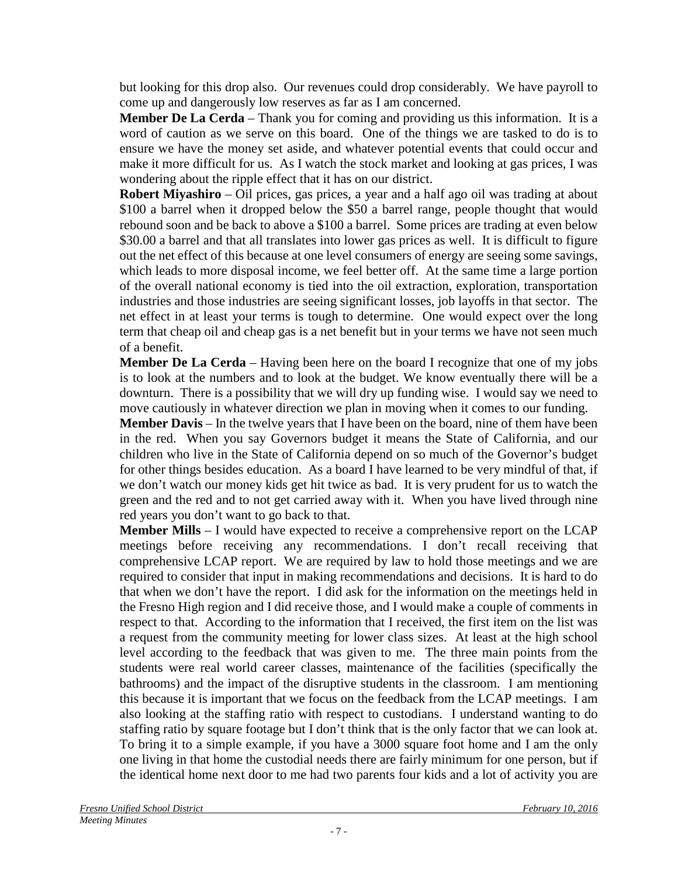but looking for this drop also. Our revenues could drop considerably. We have payroll to come up and dangerously low reserves as far as I am concerned.

**Member De La Cerda** – Thank you for coming and providing us this information. It is a word of caution as we serve on this board. One of the things we are tasked to do is to ensure we have the money set aside, and whatever potential events that could occur and make it more difficult for us. As I watch the stock market and looking at gas prices, I was wondering about the ripple effect that it has on our district.

**Robert Miyashiro** – Oil prices, gas prices, a year and a half ago oil was trading at about \$100 a barrel when it dropped below the \$50 a barrel range, people thought that would rebound soon and be back to above a \$100 a barrel. Some prices are trading at even below \$30.00 a barrel and that all translates into lower gas prices as well. It is difficult to figure out the net effect of this because at one level consumers of energy are seeing some savings, which leads to more disposal income, we feel better off. At the same time a large portion of the overall national economy is tied into the oil extraction, exploration, transportation industries and those industries are seeing significant losses, job layoffs in that sector. The net effect in at least your terms is tough to determine. One would expect over the long term that cheap oil and cheap gas is a net benefit but in your terms we have not seen much of a benefit.

**Member De La Cerda** – Having been here on the board I recognize that one of my jobs is to look at the numbers and to look at the budget. We know eventually there will be a downturn. There is a possibility that we will dry up funding wise. I would say we need to move cautiously in whatever direction we plan in moving when it comes to our funding.

**Member Davis** – In the twelve years that I have been on the board, nine of them have been in the red. When you say Governors budget it means the State of California, and our children who live in the State of California depend on so much of the Governor's budget for other things besides education. As a board I have learned to be very mindful of that, if we don't watch our money kids get hit twice as bad. It is very prudent for us to watch the green and the red and to not get carried away with it. When you have lived through nine red years you don't want to go back to that.

**Member Mills** – I would have expected to receive a comprehensive report on the LCAP meetings before receiving any recommendations. I don't recall receiving that comprehensive LCAP report. We are required by law to hold those meetings and we are required to consider that input in making recommendations and decisions. It is hard to do that when we don't have the report. I did ask for the information on the meetings held in the Fresno High region and I did receive those, and I would make a couple of comments in respect to that. According to the information that I received, the first item on the list was a request from the community meeting for lower class sizes. At least at the high school level according to the feedback that was given to me. The three main points from the students were real world career classes, maintenance of the facilities (specifically the bathrooms) and the impact of the disruptive students in the classroom. I am mentioning this because it is important that we focus on the feedback from the LCAP meetings. I am also looking at the staffing ratio with respect to custodians. I understand wanting to do staffing ratio by square footage but I don't think that is the only factor that we can look at. To bring it to a simple example, if you have a 3000 square foot home and I am the only one living in that home the custodial needs there are fairly minimum for one person, but if the identical home next door to me had two parents four kids and a lot of activity you are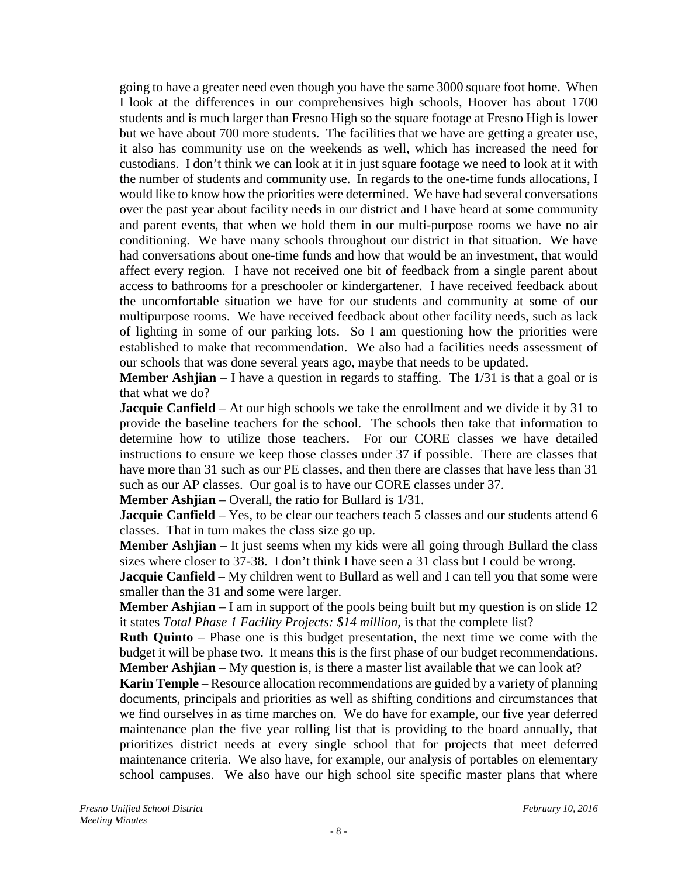going to have a greater need even though you have the same 3000 square foot home. When I look at the differences in our comprehensives high schools, Hoover has about 1700 students and is much larger than Fresno High so the square footage at Fresno High is lower but we have about 700 more students. The facilities that we have are getting a greater use, it also has community use on the weekends as well, which has increased the need for custodians. I don't think we can look at it in just square footage we need to look at it with the number of students and community use. In regards to the one-time funds allocations, I would like to know how the priorities were determined. We have had several conversations over the past year about facility needs in our district and I have heard at some community and parent events, that when we hold them in our multi-purpose rooms we have no air conditioning. We have many schools throughout our district in that situation. We have had conversations about one-time funds and how that would be an investment, that would affect every region. I have not received one bit of feedback from a single parent about access to bathrooms for a preschooler or kindergartener. I have received feedback about the uncomfortable situation we have for our students and community at some of our multipurpose rooms. We have received feedback about other facility needs, such as lack of lighting in some of our parking lots. So I am questioning how the priorities were established to make that recommendation. We also had a facilities needs assessment of our schools that was done several years ago, maybe that needs to be updated.

**Member Ashjian** – I have a question in regards to staffing. The 1/31 is that a goal or is that what we do?

**Jacquie Canfield** – At our high schools we take the enrollment and we divide it by 31 to provide the baseline teachers for the school. The schools then take that information to determine how to utilize those teachers. For our CORE classes we have detailed instructions to ensure we keep those classes under 37 if possible. There are classes that have more than 31 such as our PE classes, and then there are classes that have less than 31 such as our AP classes. Our goal is to have our CORE classes under 37.

**Member Ashjian** – Overall, the ratio for Bullard is 1/31.

**Jacquie Canfield** – Yes, to be clear our teachers teach 5 classes and our students attend 6 classes. That in turn makes the class size go up.

**Member Ashjian** – It just seems when my kids were all going through Bullard the class sizes where closer to 37-38. I don't think I have seen a 31 class but I could be wrong.

**Jacquie Canfield** – My children went to Bullard as well and I can tell you that some were smaller than the 31 and some were larger.

**Member Ashjian** – I am in support of the pools being built but my question is on slide 12 it states *Total Phase 1 Facility Projects: \$14 million*, is that the complete list?

**Ruth Quinto** – Phase one is this budget presentation, the next time we come with the budget it will be phase two. It means this is the first phase of our budget recommendations. **Member Ashjian** – My question is, is there a master list available that we can look at?

**Karin Temple** – Resource allocation recommendations are guided by a variety of planning documents, principals and priorities as well as shifting conditions and circumstances that we find ourselves in as time marches on. We do have for example, our five year deferred maintenance plan the five year rolling list that is providing to the board annually, that prioritizes district needs at every single school that for projects that meet deferred maintenance criteria. We also have, for example, our analysis of portables on elementary school campuses. We also have our high school site specific master plans that where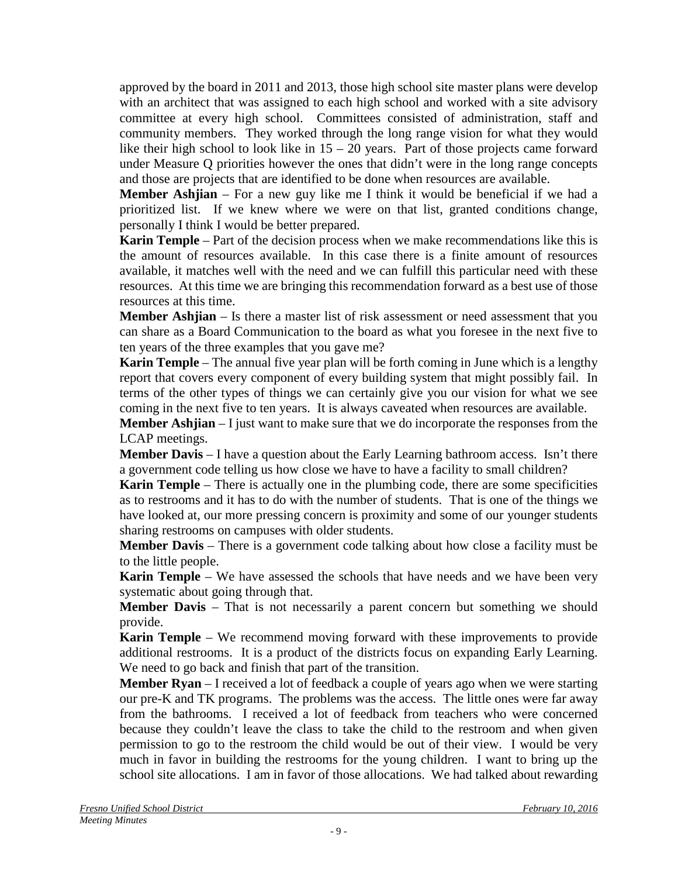approved by the board in 2011 and 2013, those high school site master plans were develop with an architect that was assigned to each high school and worked with a site advisory committee at every high school. Committees consisted of administration, staff and community members. They worked through the long range vision for what they would like their high school to look like in  $15 - 20$  years. Part of those projects came forward under Measure Q priorities however the ones that didn't were in the long range concepts and those are projects that are identified to be done when resources are available.

**Member Ashjian** – For a new guy like me I think it would be beneficial if we had a prioritized list. If we knew where we were on that list, granted conditions change, personally I think I would be better prepared.

**Karin Temple** – Part of the decision process when we make recommendations like this is the amount of resources available. In this case there is a finite amount of resources available, it matches well with the need and we can fulfill this particular need with these resources. At this time we are bringing this recommendation forward as a best use of those resources at this time.

**Member Ashjian** – Is there a master list of risk assessment or need assessment that you can share as a Board Communication to the board as what you foresee in the next five to ten years of the three examples that you gave me?

**Karin Temple** – The annual five year plan will be forth coming in June which is a lengthy report that covers every component of every building system that might possibly fail. In terms of the other types of things we can certainly give you our vision for what we see coming in the next five to ten years. It is always caveated when resources are available.

**Member Ashjian** – I just want to make sure that we do incorporate the responses from the LCAP meetings.

**Member Davis** – I have a question about the Early Learning bathroom access. Isn't there a government code telling us how close we have to have a facility to small children?

**Karin Temple** – There is actually one in the plumbing code, there are some specificities as to restrooms and it has to do with the number of students. That is one of the things we have looked at, our more pressing concern is proximity and some of our younger students sharing restrooms on campuses with older students.

**Member Davis** – There is a government code talking about how close a facility must be to the little people.

**Karin Temple** – We have assessed the schools that have needs and we have been very systematic about going through that.

**Member Davis** – That is not necessarily a parent concern but something we should provide.

**Karin Temple** – We recommend moving forward with these improvements to provide additional restrooms. It is a product of the districts focus on expanding Early Learning. We need to go back and finish that part of the transition.

**Member Ryan** – I received a lot of feedback a couple of years ago when we were starting our pre-K and TK programs. The problems was the access. The little ones were far away from the bathrooms. I received a lot of feedback from teachers who were concerned because they couldn't leave the class to take the child to the restroom and when given permission to go to the restroom the child would be out of their view. I would be very much in favor in building the restrooms for the young children. I want to bring up the school site allocations. I am in favor of those allocations. We had talked about rewarding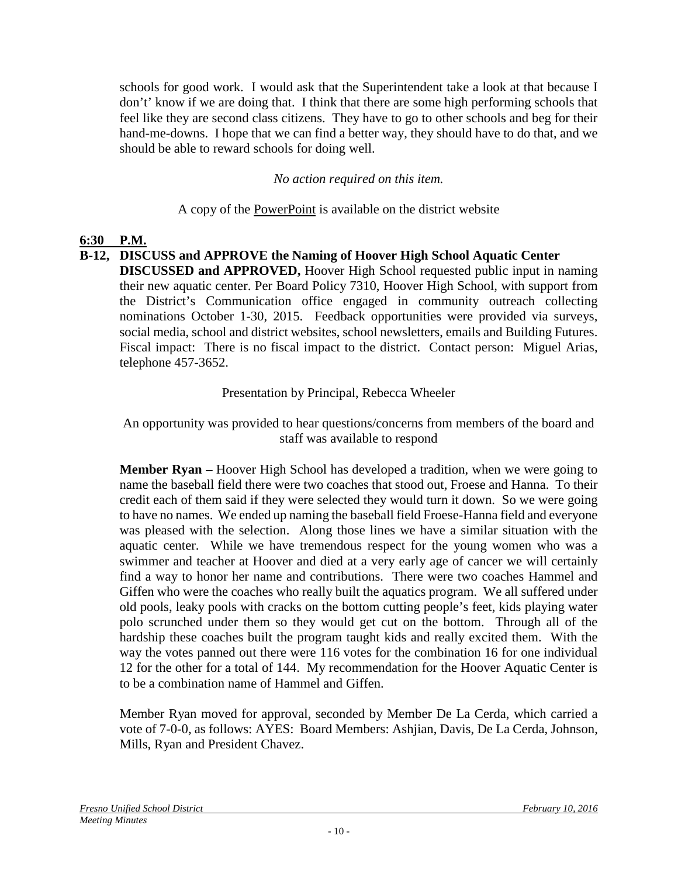schools for good work. I would ask that the Superintendent take a look at that because I don't' know if we are doing that. I think that there are some high performing schools that feel like they are second class citizens. They have to go to other schools and beg for their hand-me-downs. I hope that we can find a better way, they should have to do that, and we should be able to reward schools for doing well.

*No action required on this item.*

A copy of the PowerPoint is available on the district website

## **6:30 P.M.**

#### **B-12, DISCUSS and APPROVE the Naming of Hoover High School Aquatic Center DISCUSSED and APPROVED,** Hoover High School requested public input in naming their new aquatic center. Per Board Policy 7310, Hoover High School, with support from the District's Communication office engaged in community outreach collecting nominations October 1-30, 2015. Feedback opportunities were provided via surveys, social media, school and district websites, school newsletters, emails and Building Futures. Fiscal impact: There is no fiscal impact to the district. Contact person: Miguel Arias, telephone 457-3652.

## Presentation by Principal, Rebecca Wheeler

An opportunity was provided to hear questions/concerns from members of the board and staff was available to respond

**Member Ryan –** Hoover High School has developed a tradition, when we were going to name the baseball field there were two coaches that stood out, Froese and Hanna. To their credit each of them said if they were selected they would turn it down. So we were going to have no names. We ended up naming the baseball field Froese-Hanna field and everyone was pleased with the selection. Along those lines we have a similar situation with the aquatic center. While we have tremendous respect for the young women who was a swimmer and teacher at Hoover and died at a very early age of cancer we will certainly find a way to honor her name and contributions. There were two coaches Hammel and Giffen who were the coaches who really built the aquatics program. We all suffered under old pools, leaky pools with cracks on the bottom cutting people's feet, kids playing water polo scrunched under them so they would get cut on the bottom. Through all of the hardship these coaches built the program taught kids and really excited them. With the way the votes panned out there were 116 votes for the combination 16 for one individual 12 for the other for a total of 144. My recommendation for the Hoover Aquatic Center is to be a combination name of Hammel and Giffen.

Member Ryan moved for approval, seconded by Member De La Cerda, which carried a vote of 7-0-0, as follows: AYES: Board Members: Ashjian, Davis, De La Cerda, Johnson, Mills, Ryan and President Chavez.